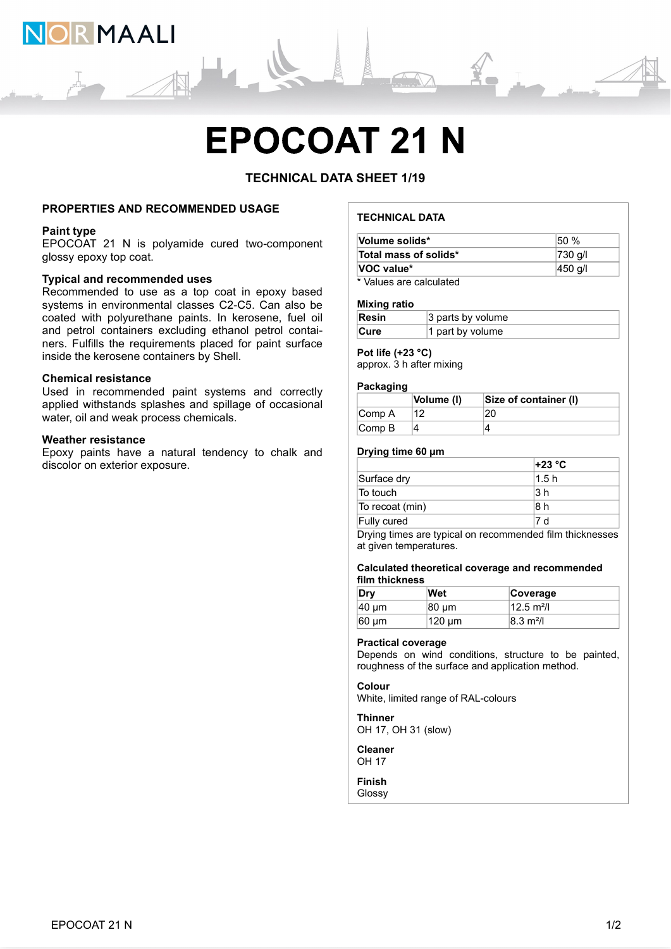

# TECHNICAL DATA SHEET 1/19

# PROPERTIES AND RECOMMENDED USAGE

# Paint type

# Typical and recommended uses

Recommended to use as a top coat in epoxy based systems in environmental classes C2-C5. Can also be coated with polyurethane paints. In kerosene, fuel oil and petrol containers excluding ethanol petrol containers. Fulfills the requirements placed for paint surface inside the kerosene containers by Shell. **EPOCOAT 21 N**<br>
TECHNICAL DATA SHEET 1/19<br>
PROPERTIES AND RECOMMENDED USAGE<br>
EPOCOAT 21 N is polyamide cured two-component<br>
Used in recommended uses<br>
Used in encommended uses<br>
Typical and recommended uses<br>
Systems in envi **EPOXY THE SAND RECOMMENDED USAGE<br>
Paint type<br>
EPOCOAT 21 N is polyamide cured two-component<br>
EPOCOAT 21 N is polyamide cured two-component<br>
Volume soilds<br>
Total mass of soilds<br>
Stress have a natural classes C2-C5. Can al** 

# Weather resistance

# TECHNICAL DATA

| <b>MAALI</b>                                                                                                                                                   |                                                                           |                       |  |
|----------------------------------------------------------------------------------------------------------------------------------------------------------------|---------------------------------------------------------------------------|-----------------------|--|
| <b>EPOCOAT 21 N</b>                                                                                                                                            |                                                                           |                       |  |
| <b>TECHNICAL DATA SHEET 1/19</b><br><b>PROPERTIES AND RECOMMENDED USAGE</b>                                                                                    | <b>TECHNICAL DATA</b>                                                     |                       |  |
| <b>Paint type</b><br>EPOCOAT 21 N is polyamide cured two-component                                                                                             | Volume solids*                                                            | 50 %                  |  |
| glossy epoxy top coat.                                                                                                                                         | Total mass of solids*<br><b>VOC value*</b>                                | 730 g/l<br>450 g/l    |  |
| <b>Typical and recommended uses</b><br>Recommended to use as a top coat in epoxy based<br>systems in environmental classes C2-C5. Can also be                  | * Values are calculated<br><b>Mixing ratio</b>                            |                       |  |
| coated with polyurethane paints. In kerosene, fuel oil                                                                                                         | Resin<br>3 parts by volume                                                |                       |  |
| and petrol containers excluding ethanol petrol contai-<br>ners. Fulfills the requirements placed for paint surface<br>inside the kerosene containers by Shell. | 1 part by volume<br>Cure<br>Pot life (+23 °C)<br>approx. 3 h after mixing |                       |  |
| <b>Chemical resistance</b><br>Used in recommended paint systems and correctly                                                                                  | Packaging<br>Volume (I)                                                   | Size of container (I) |  |
| applied withstands splashes and spillage of occasional<br>water, oil and weak process chemicals.                                                               | Comp A<br>12<br>4<br>Comp B                                               | 20<br>$\overline{4}$  |  |
| <b>Weather resistance</b>                                                                                                                                      |                                                                           |                       |  |
|                                                                                                                                                                |                                                                           |                       |  |
| Epoxy paints have a natural tendency to chalk and<br>discolor on exterior exposure.                                                                            | Drying time 60 µm                                                         | +23 °C                |  |
|                                                                                                                                                                | Surface dry                                                               | 1.5h<br> 3 h          |  |

#### Mixing ratio

| Resin       | $ 3$ parts by volume          |
|-------------|-------------------------------|
| <b>Cure</b> | <sup>1</sup> 1 part by volume |

# Pot life (+23 °C)

# **Packaging**

|                             | Volume (I) | Size of container (I) |
|-----------------------------|------------|-----------------------|
| Comp A                      |            | 20                    |
| $\mathsf{Comp}\,\mathsf{B}$ |            |                       |

# Drying time 60 µm

| <b>TECHNICAL DATA</b>                                         |                                     |                                                                                                          |                      |  |
|---------------------------------------------------------------|-------------------------------------|----------------------------------------------------------------------------------------------------------|----------------------|--|
| Volume solids*                                                |                                     |                                                                                                          | 50 %                 |  |
| 730 g/l<br>Total mass of solids*                              |                                     |                                                                                                          |                      |  |
| VOC value*<br>450 g/l                                         |                                     |                                                                                                          |                      |  |
|                                                               | * Values are calculated             |                                                                                                          |                      |  |
|                                                               |                                     |                                                                                                          |                      |  |
| <b>Mixing ratio</b>                                           |                                     |                                                                                                          |                      |  |
| <b>Resin</b><br>3 parts by volume<br>Cure<br>1 part by volume |                                     |                                                                                                          |                      |  |
|                                                               |                                     |                                                                                                          |                      |  |
| Pot life (+23 °C)<br>Packaging                                | approx. 3 h after mixing            |                                                                                                          |                      |  |
|                                                               | Volume (I)                          | Size of container (I)                                                                                    |                      |  |
| Comp A                                                        | 12                                  | 20                                                                                                       |                      |  |
| Comp B                                                        | $\vert$ 4                           | 4                                                                                                        |                      |  |
|                                                               |                                     |                                                                                                          |                      |  |
| Drying time 60 µm                                             |                                     |                                                                                                          |                      |  |
|                                                               |                                     | +23 °C<br>1.5h                                                                                           |                      |  |
| Surface dry                                                   |                                     |                                                                                                          |                      |  |
| To touch                                                      |                                     | 3 <sub>h</sub>                                                                                           |                      |  |
| To recoat (min)                                               |                                     | 8 h                                                                                                      |                      |  |
| Fully cured                                                   |                                     | 7 d                                                                                                      |                      |  |
|                                                               | at given temperatures.              | Drying times are typical on recommended film thicknesses                                                 |                      |  |
| film thickness                                                |                                     | Calculated theoretical coverage and recommended                                                          |                      |  |
| Dry                                                           | Wet                                 | Coverage                                                                                                 |                      |  |
| 40 µm                                                         | 80 µm                               | $12.5 \text{ m}^2$ /I                                                                                    |                      |  |
| 60 µm                                                         | 120 µm                              |                                                                                                          | $8.3 \text{ m}^2$ /I |  |
| <b>Practical coverage</b>                                     |                                     | Depends on wind conditions, structure to be painted,<br>roughness of the surface and application method. |                      |  |
| <b>Colour</b>                                                 | White, limited range of RAL-colours |                                                                                                          |                      |  |
| <b>Thinner</b>                                                | .                                   |                                                                                                          |                      |  |

### Calculated theoretical coverage and recommended film thickness

| Dry               | Wet    | Coverage              |
|-------------------|--------|-----------------------|
| $ 40 \text{ µm} $ | 80 µm  | $12.5 \text{ m}^2$ /l |
| $60 \mu m$        | 120 µm | $ 8.3 \text{ m}^2 $   |

#### Practical coverage

# Colour

**Thinner** OH 17, OH 31 (slow)

Cleaner OH 17

Finish

Glossy